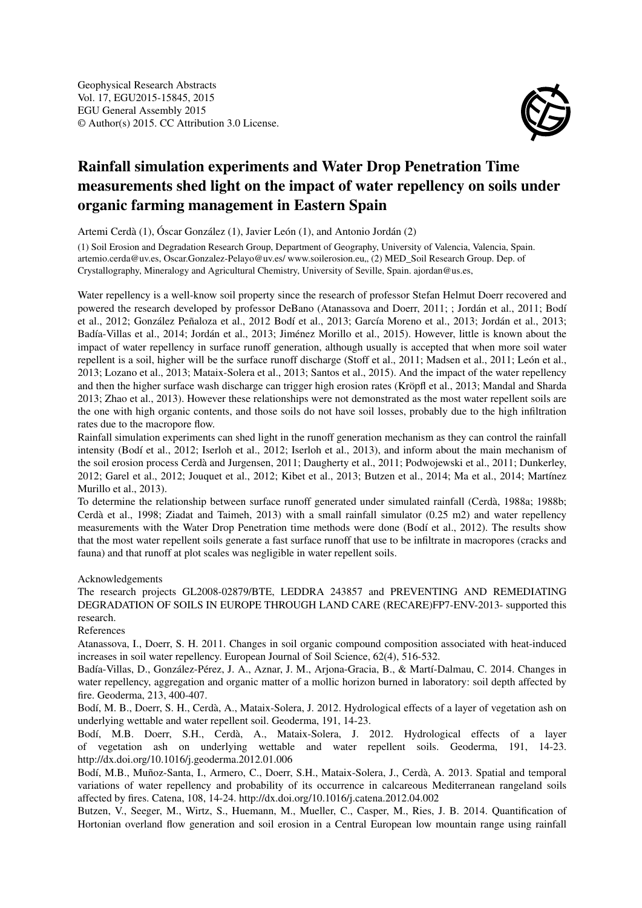

## Rainfall simulation experiments and Water Drop Penetration Time measurements shed light on the impact of water repellency on soils under organic farming management in Eastern Spain

Artemi Cerdà (1), Óscar González (1), Javier León (1), and Antonio Jordán (2)

(1) Soil Erosion and Degradation Research Group, Department of Geography, University of Valencia, Valencia, Spain. artemio.cerda@uv.es, Oscar.Gonzalez-Pelayo@uv.es/ www.soilerosion.eu,, (2) MED\_Soil Research Group. Dep. of Crystallography, Mineralogy and Agricultural Chemistry, University of Seville, Spain. ajordan@us.es,

Water repellency is a well-know soil property since the research of professor Stefan Helmut Doerr recovered and powered the research developed by professor DeBano (Atanassova and Doerr, 2011; ; Jordán et al., 2011; Bodí et al., 2012; González Peñaloza et al., 2012 Bodí et al., 2013; García Moreno et al., 2013; Jordán et al., 2013; Badía-Villas et al., 2014; Jordán et al., 2013; Jiménez Morillo et al., 2015). However, little is known about the impact of water repellency in surface runoff generation, although usually is accepted that when more soil water repellent is a soil, higher will be the surface runoff discharge (Stoff et al., 2011; Madsen et al., 2011; León et al., 2013; Lozano et al., 2013; Mataix-Solera et al., 2013; Santos et al., 2015). And the impact of the water repellency and then the higher surface wash discharge can trigger high erosion rates (Kröpfl et al., 2013; Mandal and Sharda 2013; Zhao et al., 2013). However these relationships were not demonstrated as the most water repellent soils are the one with high organic contents, and those soils do not have soil losses, probably due to the high infiltration rates due to the macropore flow.

Rainfall simulation experiments can shed light in the runoff generation mechanism as they can control the rainfall intensity (Bodí et al., 2012; Iserloh et al., 2012; Iserloh et al., 2013), and inform about the main mechanism of the soil erosion process Cerdà and Jurgensen, 2011; Daugherty et al., 2011; Podwojewski et al., 2011; Dunkerley, 2012; Garel et al., 2012; Jouquet et al., 2012; Kibet et al., 2013; Butzen et al., 2014; Ma et al., 2014; Martínez Murillo et al., 2013).

To determine the relationship between surface runoff generated under simulated rainfall (Cerdà, 1988a; 1988b; Cerdà et al., 1998; Ziadat and Taimeh, 2013) with a small rainfall simulator (0.25 m2) and water repellency measurements with the Water Drop Penetration time methods were done (Bodí et al., 2012). The results show that the most water repellent soils generate a fast surface runoff that use to be infiltrate in macropores (cracks and fauna) and that runoff at plot scales was negligible in water repellent soils.

## Acknowledgements

The research projects GL2008-02879/BTE, LEDDRA 243857 and PREVENTING AND REMEDIATING DEGRADATION OF SOILS IN EUROPE THROUGH LAND CARE (RECARE)FP7-ENV-2013- supported this research.

References

Atanassova, I., Doerr, S. H. 2011. Changes in soil organic compound composition associated with heat-induced increases in soil water repellency. European Journal of Soil Science, 62(4), 516-532.

Badía-Villas, D., González-Pérez, J. A., Aznar, J. M., Arjona-Gracia, B., & Martí-Dalmau, C. 2014. Changes in water repellency, aggregation and organic matter of a mollic horizon burned in laboratory: soil depth affected by fire. Geoderma, 213, 400-407.

Bodí, M. B., Doerr, S. H., Cerdà, A., Mataix-Solera, J. 2012. Hydrological effects of a layer of vegetation ash on underlying wettable and water repellent soil. Geoderma, 191, 14-23.

Bodí, M.B. Doerr, S.H., Cerdà, A., Mataix-Solera, J. 2012. Hydrological effects of a layer of vegetation ash on underlying wettable and water repellent soils. Geoderma, 191, 14-23. http://dx.doi.org/10.1016/j.geoderma.2012.01.006

Bodí, M.B., Muñoz-Santa, I., Armero, C., Doerr, S.H., Mataix-Solera, J., Cerdà, A. 2013. Spatial and temporal variations of water repellency and probability of its occurrence in calcareous Mediterranean rangeland soils affected by fires. Catena, 108, 14-24. http://dx.doi.org/10.1016/j.catena.2012.04.002

Butzen, V., Seeger, M., Wirtz, S., Huemann, M., Mueller, C., Casper, M., Ries, J. B. 2014. Quantification of Hortonian overland flow generation and soil erosion in a Central European low mountain range using rainfall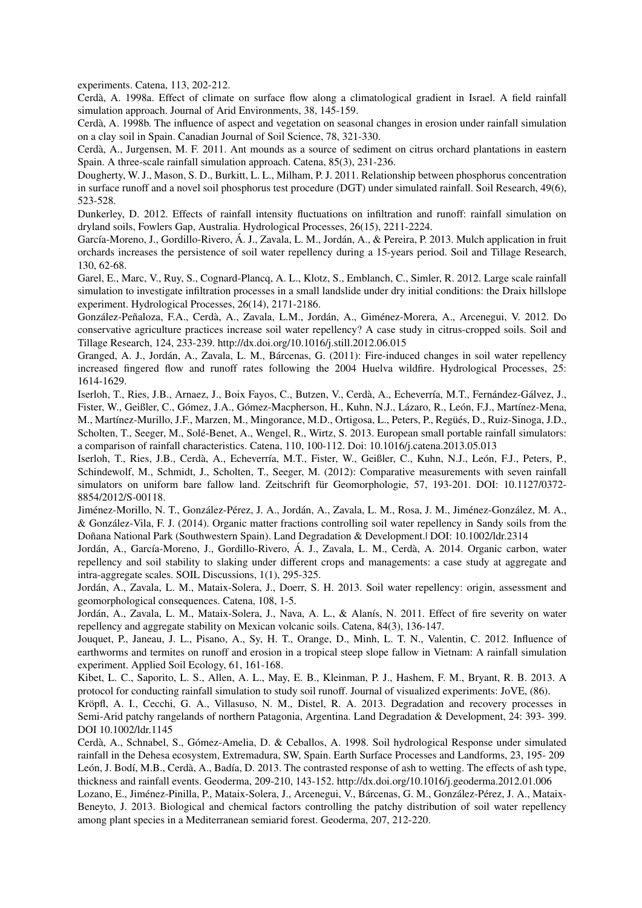experiments. Catena, 113, 202-212.

Cerdà, A. 1998a. Effect of climate on surface flow along a climatological gradient in Israel. A field rainfall simulation approach. Journal of Arid Environments, 38, 145-159.

Cerdà, A. 1998b. The influence of aspect and vegetation on seasonal changes in erosion under rainfall simulation on a clay soil in Spain. Canadian Journal of Soil Science, 78, 321-330.

Cerdà, A., Jurgensen, M. F. 2011. Ant mounds as a source of sediment on citrus orchard plantations in eastern Spain. A three-scale rainfall simulation approach. Catena, 85(3), 231-236.

Dougherty, W. J., Mason, S. D., Burkitt, L. L., Milham, P. J. 2011. Relationship between phosphorus concentration in surface runoff and a novel soil phosphorus test procedure (DGT) under simulated rainfall. Soil Research, 49(6), 523-528.

Dunkerley, D. 2012. Effects of rainfall intensity fluctuations on infiltration and runoff: rainfall simulation on dryland soils, Fowlers Gap, Australia. Hydrological Processes, 26(15), 2211-2224.

García-Moreno, J., Gordillo-Rivero, Á. J., Zavala, L. M., Jordán, A., & Pereira, P. 2013. Mulch application in fruit orchards increases the persistence of soil water repellency during a 15-years period. Soil and Tillage Research, 130, 62-68.

Garel, E., Marc, V., Ruy, S., Cognard-Plancq, A. L., Klotz, S., Emblanch, C., Simler, R. 2012. Large scale rainfall simulation to investigate infiltration processes in a small landslide under dry initial conditions: the Draix hillslope experiment. Hydrological Processes, 26(14), 2171-2186.

González-Peñaloza, F.A., Cerdà, A., Zavala, L.M., Jordán, A., Giménez-Morera, A., Arcenegui, V. 2012. Do conservative agriculture practices increase soil water repellency? A case study in citrus-cropped soils. Soil and Tillage Research, 124, 233-239. http://dx.doi.org/10.1016/j.still.2012.06.015

Granged, A. J., Jordán, A., Zavala, L. M., Bárcenas, G. (2011): Fire-induced changes in soil water repellency increased fingered flow and runoff rates following the 2004 Huelva wildfire. Hydrological Processes, 25: 1614-1629.

Iserloh, T., Ries, J.B., Arnaez, J., Boix Fayos, C., Butzen, V., Cerdà, A., Echeverría, M.T., Fernández-Gálvez, J., Fister, W., Geißler, C., Gómez, J.A., Gómez-Macpherson, H., Kuhn, N.J., Lázaro, R., León, F.J., Martínez-Mena, M., Martínez-Murillo, J.F., Marzen, M., Mingorance, M.D., Ortigosa, L., Peters, P., Regüés, D., Ruiz-Sinoga, J.D., Scholten, T., Seeger, M., Solé-Benet, A., Wengel, R., Wirtz, S. 2013. European small portable rainfall simulators: a comparison of rainfall characteristics. Catena, 110, 100-112. Doi: 10.1016/j.catena.2013.05.013

Iserloh, T., Ries, J.B., Cerdà, A., Echeverría, M.T., Fister, W., Geißler, C., Kuhn, N.J., León, F.J., Peters, P., Schindewolf, M., Schmidt, J., Scholten, T., Seeger, M. (2012): Comparative measurements with seven rainfall simulators on uniform bare fallow land. Zeitschrift für Geomorphologie, 57, 193-201. DOI: 10.1127/0372- 8854/2012/S-00118.

Jiménez-Morillo, N. T., González-Pérez, J. A., Jordán, A., Zavala, L. M., Rosa, J. M., Jiménez-González, M. A., & González-Vila, F. J. (2014). Organic matter fractions controlling soil water repellency in Sandy soils from the Doñana National Park (Southwestern Spain). Land Degradation & Development.| DOI: 10.1002/ldr.2314

Jordán, A., García-Moreno, J., Gordillo-Rivero, Á. J., Zavala, L. M., Cerdà, A. 2014. Organic carbon, water repellency and soil stability to slaking under different crops and managements: a case study at aggregate and intra-aggregate scales. SOIL Discussions, 1(1), 295-325.

Jordán, A., Zavala, L. M., Mataix-Solera, J., Doerr, S. H. 2013. Soil water repellency: origin, assessment and geomorphological consequences. Catena, 108, 1-5.

Jordán, A., Zavala, L. M., Mataix-Solera, J., Nava, A. L., & Alanís, N. 2011. Effect of fire severity on water repellency and aggregate stability on Mexican volcanic soils. Catena, 84(3), 136-147.

Jouquet, P., Janeau, J. L., Pisano, A., Sy, H. T., Orange, D., Minh, L. T. N., Valentin, C. 2012. Influence of earthworms and termites on runoff and erosion in a tropical steep slope fallow in Vietnam: A rainfall simulation experiment. Applied Soil Ecology, 61, 161-168.

Kibet, L. C., Saporito, L. S., Allen, A. L., May, E. B., Kleinman, P. J., Hashem, F. M., Bryant, R. B. 2013. A protocol for conducting rainfall simulation to study soil runoff. Journal of visualized experiments: JoVE, (86).

Kröpfl, A. I., Cecchi, G. A., Villasuso, N. M., Distel, R. A. 2013. Degradation and recovery processes in Semi-Arid patchy rangelands of northern Patagonia, Argentina. Land Degradation & Development, 24: 393- 399. DOI 10.1002/ldr.1145

Cerdà, A., Schnabel, S., Gómez-Amelia, D. & Ceballos, A. 1998. Soil hydrological Response under simulated rainfall in the Dehesa ecosystem, Extremadura, SW, Spain. Earth Surface Processes and Landforms, 23, 195- 209 León, J. Bodí, M.B., Cerdà, A., Badía, D. 2013. The contrasted response of ash to wetting. The effects of ash type, thickness and rainfall events. Geoderma, 209-210, 143-152. http://dx.doi.org/10.1016/j.geoderma.2012.01.006

Lozano, E., Jiménez-Pinilla, P., Mataix-Solera, J., Arcenegui, V., Bárcenas, G. M., González-Pérez, J. A., Mataix-Beneyto, J. 2013. Biological and chemical factors controlling the patchy distribution of soil water repellency among plant species in a Mediterranean semiarid forest. Geoderma, 207, 212-220.